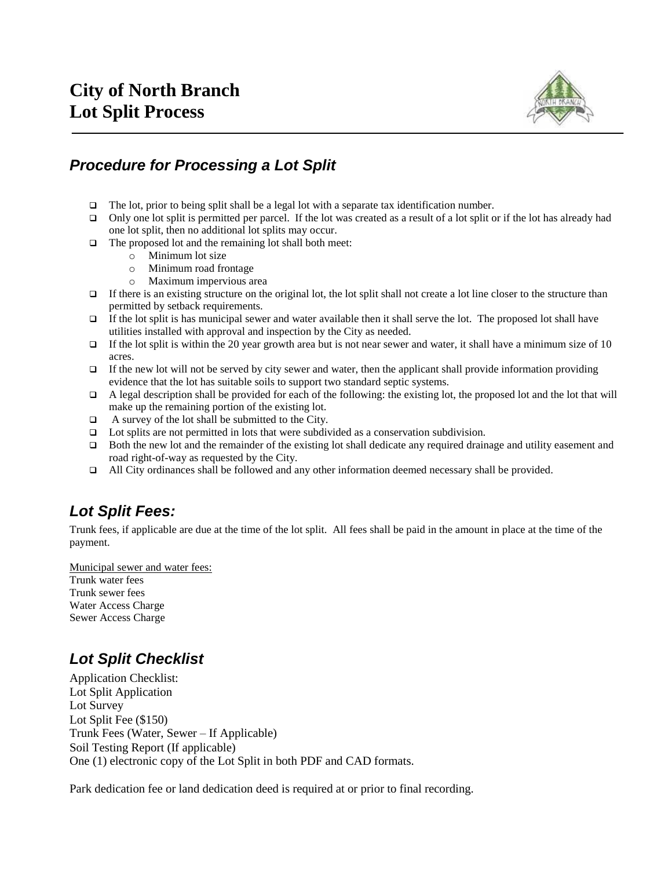

## *Procedure for Processing a Lot Split*

- $\Box$  The lot, prior to being split shall be a legal lot with a separate tax identification number.
- Only one lot split is permitted per parcel. If the lot was created as a result of a lot split or if the lot has already had one lot split, then no additional lot splits may occur.
- $\Box$  The proposed lot and the remaining lot shall both meet:
	- o Minimum lot size
	- o Minimum road frontage
	- o Maximum impervious area
- $\Box$  If there is an existing structure on the original lot, the lot split shall not create a lot line closer to the structure than permitted by setback requirements.
- $\Box$  If the lot split is has municipal sewer and water available then it shall serve the lot. The proposed lot shall have utilities installed with approval and inspection by the City as needed.
- If the lot split is within the 20 year growth area but is not near sewer and water, it shall have a minimum size of 10 acres.
- $\Box$  If the new lot will not be served by city sewer and water, then the applicant shall provide information providing evidence that the lot has suitable soils to support two standard septic systems.
- $\Box$  A legal description shall be provided for each of the following: the existing lot, the proposed lot and the lot that will make up the remaining portion of the existing lot.
- $\Box$  A survey of the lot shall be submitted to the City.
- Lot splits are not permitted in lots that were subdivided as a conservation subdivision.
- □ Both the new lot and the remainder of the existing lot shall dedicate any required drainage and utility easement and road right-of-way as requested by the City.
- All City ordinances shall be followed and any other information deemed necessary shall be provided.

## *Lot Split Fees:*

Trunk fees, if applicable are due at the time of the lot split. All fees shall be paid in the amount in place at the time of the payment.

Municipal sewer and water fees: Trunk water fees Trunk sewer fees Water Access Charge Sewer Access Charge

## *Lot Split Checklist*

Application Checklist: Lot Split Application Lot Survey Lot Split Fee (\$150) Trunk Fees (Water, Sewer – If Applicable) Soil Testing Report (If applicable) One (1) electronic copy of the Lot Split in both PDF and CAD formats.

Park dedication fee or land dedication deed is required at or prior to final recording.